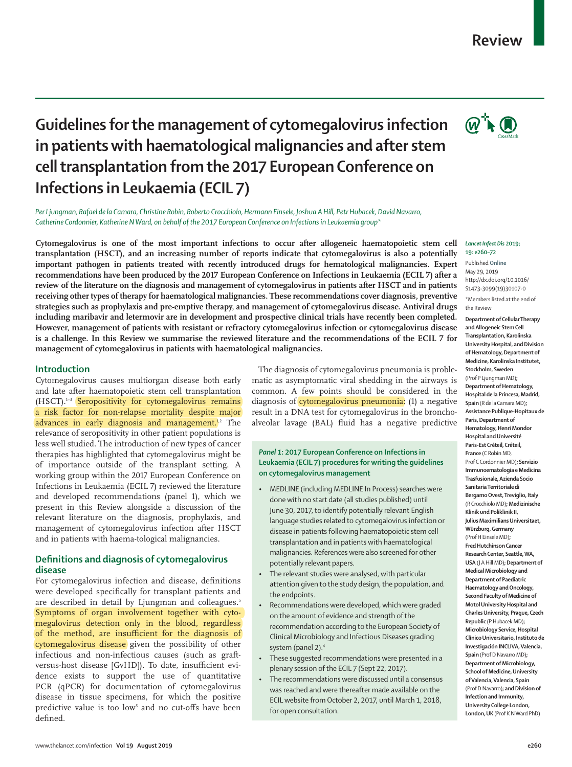# **Review**

# **Guidelines for the management of cytomegalovirus infection in patients with haematological malignancies and after stem cell transplantation from the 2017 European Conference on Infections in Leukaemia (ECIL 7)**

*Per Ljungman, Rafael de la Camara, Christine Robin, Roberto Crocchiolo, Hermann Einsele, Joshua A Hill, Petr Hubacek, David Navarro, Catherine Cordonnier, Katherine N Ward, on behalf of the 2017 European Conference on Infections in Leukaemia group\**

**Cytomegalovirus is one of the most important infections to occur after allogeneic haematopoietic stem cell transplantation (HSCT), and an increasing number of reports indicate that cytomegalovirus is also a potentially important pathogen in patients treated with recently introduced drugs for hematological malignancies. Expert recommendations have been produced by the 2017 European Conference on Infections in Leukaemia (ECIL 7) after a review of the literature on the diagnosis and management of cytomegalovirus in patients after HSCT and in patients receiving other types of therapy for haematological malignancies. These recommendations cover diagnosis, preventive strategies such as prophylaxis and pre-emptive therapy, and management of cytomegalovirus disease. Antiviral drugs including maribavir and letermovir are in development and prospective clinical trials have recently been completed. However, management of patients with resistant or refractory cytomegalovirus infection or cytomegalovirus disease is a challenge. In this Review we summarise the reviewed literature and the recommendations of the ECIL 7 for management of cytomegalovirus in patients with haematological malignancies.**

# **Introduction**

Cytomegalovirus causes multiorgan disease both early and late after haematopoietic stem cell transplantation (HSCT).1–3 Seropositivity for cytomegalovirus remains a risk factor for non-relapse mortality despite major advances in early diagnosis and management.<sup>12</sup> The relevance of seropositivity in other patient populations is less well studied. The introduction of new types of cancer therapies has highlighted that cytomegalovirus might be of importance outside of the transplant setting. A working group within the 2017 European Conference on Infections in Leukaemia (ECIL 7) reviewed the literature and developed recommendations (panel 1), which we present in this Review alongside a discussion of the relevant literature on the diagnosis, prophylaxis, and management of cytomegalovirus infection after HSCT and in patients with haema-tological malignancies.

# **Definitions and diagnosis of cytomegalovirus disease**

For cytomegalovirus infection and disease, definitions were developed specifically for transplant patients and are described in detail by Ljungman and colleagues.<sup>5</sup> Symptoms of organ involvement together with cytomegalovirus detection only in the blood, regardless of the method, are insufficient for the diagnosis of cytomegalovirus disease given the possibility of other infectious and non-infectious causes (such as graftversus-host disease [GvHD]). To date, insufficient evidence exists to support the use of quantitative PCR (qPCR) for documentation of cytomegalovirus disease in tissue specimens, for which the positive predictive value is too low<sup>5</sup> and no cut-offs have been defined.

The diagnosis of cytomegalovirus pneumonia is problematic as asymptomatic viral shedding in the airways is common. A few points should be considered in the diagnosis of cytomegalovirus pneumonia: (1) a negative result in a DNA test for cytomegalovirus in the bronchoalveolar lavage (BAL) fluid has a negative predictive

# *Panel 1***: 2017 European Conference on Infections in Leukaemia (ECIL 7) procedures for writing the guidelines on cytomegalovirus management**

- MEDLINE (including MEDLINE In Process) searches were done with no start date (all studies published) until June 30, 2017, to identify potentially relevant English language studies related to cytomegalovirus infection or disease in patients following haematopoietic stem cell transplantation and in patients with haematological malignancies. References were also screened for other potentially relevant papers.
- The relevant studies were analysed, with particular attention given to the study design, the population, and the endpoints.
- Recommendations were developed, which were graded on the amount of evidence and strength of the recommendation according to the European Society of Clinical Microbiology and Infectious Diseases grading system (panel 2).<sup>4</sup>
- These suggested recommendations were presented in a plenary session of the ECIL 7 (Sept 22, 2017).
- The recommendations were discussed until a consensus was reached and were thereafter made available on the [ECIL website](www.ecil-leukaemia.com) from October 2, 2017, until March 1, 2018, for open consultation.



#### *Lancet Infect Dis* **2019; 19: e260–72**

Published **Online** May 29, 2019 http://dx.doi.org/10.1016/ S1473-3099(19)30107-0

\*Members listed at the end of the Review

**Department of Cellular Therapy and Allogeneic Stem Cell Transplantation, Karolinska University Hospital, and Division of Hematology, Department of Medicine, Karolinska Institutet, Stockholm, Sweden** (Prof P Ljungman MD)**; Department of Hematology, Hospital de la Princesa, Madrid, Spain** (R de la Camara MD)**; Assistance Publique-Hopitaux de Paris, Department of Hematology, Henri Mondor Hospital and Université Paris-Est Créteil, Créteil, France** (C Robin MD, Prof C Cordonnier MD)**; Servizio Immunoematologia e Medicina Trasfusionale, Azienda Socio Sanitaria Territoriale di Bergamo Ovest, Treviglio, Italy** (R Crocchiolo MD)**; Medizinische Klinik und Poliklinik II, Julius Maximilians Universitaet, Würzburg, Germany** (Prof H Einsele MD)**; Fred Hutchinson Cancer Research Center, Seattle, WA, USA** (J A Hill MD)**; Department of Medical Microbiology and Department of Paediatric Haematology and Oncology, Second Faculty of Medicine of Motol University Hospital and Charles University, Prague, Czech Republic** (P Hubacek MD)**; Microbiology Service, Hospital Clínico Universitario, Instituto de Investigación INCLIVA, Valencia, Spain** (Prof D Navarro MD)**; Department of Microbiology, School of Medicine, University of Valencia, Valencia, Spain** (Prof D Navarro)**; and Division of Infection and Immunity, University College London, London, UK** (Prof K N Ward PhD)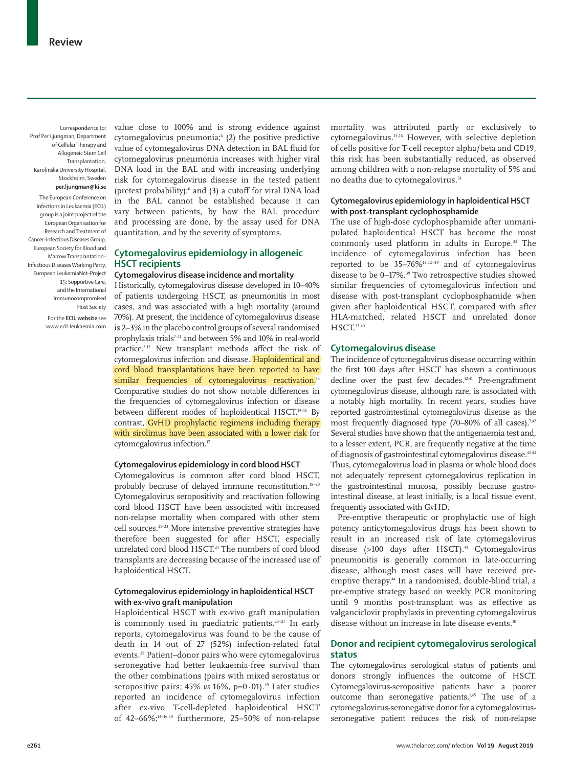Correspondence to: Prof Per Ljungman, Department of Cellular Therapy and Allogeneic Stem Cell Transplantation, Karolinska University Hospital, Stockholm, Sweden **per.ljungman@ki.se**

The European Conference on Infections in Leukaemia (ECIL) group is a joint project of the European Organisation for Research and Treatment of Cancer–Infectious Diseases Group, European Society for Blood and Marrow Transplantation– Infectious Diseases Working Party, European LeukemiaNet–Project 15: Supportive Care, and the International Immunocompromised Host Society

> For the **ECIL website** see <www.ecil-leukaemia.com>

value close to 100% and is strong evidence against cytomegalovirus pneumonia;<sup>6</sup> (2) the positive predictive value of cytomegalovirus DNA detection in BAL fluid for cytomegalovirus pneumonia increases with higher viral DNA load in the BAL and with increasing underlying risk for cytomegalovirus disease in the tested patient (pretest probability); $\delta$  and (3) a cutoff for viral DNA load in the BAL cannot be established because it can vary between patients, by how the BAL procedure and processing are done, by the assay used for DNA quantitation, and by the severity of symptoms.

# **Cytomegalovirus epidemiology in allogeneic HSCT recipients**

# **Cytomegalovirus disease incidence and mortality**

Historically, cytomegalovirus disease developed in 10–40% of patients undergoing HSCT, as pneumonitis in most cases, and was associated with a high mortality (around 70%). At present, the incidence of cytomegalovirus disease is 2–3% in the placebo control groups of several randomised prophylaxis trials<sup>7-11</sup> and between 5% and 10% in real-world practice.3,12 New transplant methods affect the risk of cytomegalovirus infection and disease. Haploidentical and cord blood transplantations have been reported to have similar frequencies of cytomegalovirus reactivation.<sup>13</sup> Comparative studies do not show notable differences in the frequencies of cytomegalovirus infection or disease between different modes of haploidentical HSCT.14–16 By contrast, GvHD prophylactic regimens including therapy with sirolimus have been associated with a lower risk for cytomegalovirus infection.<sup>17</sup>

#### **Cytomegalovirus epidemiology in cord blood HSCT**

Cytomegalovirus is common after cord blood HSCT, probably because of delayed immune reconstitution.<sup>18-20</sup> Cytomegalovirus seropositivity and reactivation following cord blood HSCT have been associated with increased non-relapse mortality when compared with other stem cell sources.21–23 More intensive preventive strategies have therefore been suggested for after HSCT, especially unrelated cord blood HSCT.<sup>24</sup> The numbers of cord blood transplants are decreasing because of the increased use of haploidentical HSCT.

# **Cytomegalovirus epidemiology in haploidentical HSCT with ex-vivo graft manipulation**

Haploidentical HSCT with ex-vivo graft manipulation is commonly used in paediatric patients.<sup>25-27</sup> In early reports, cytomegalovirus was found to be the cause of death in 14 out of 27 (52%) infection-related fatal events.28 Patient–donor pairs who were cytomegalovirus seronegative had better leukaemia-free survival than the other combinations (pairs with mixed serostatus or seropositive pairs; 45% *vs* 16%, p=0·01).<sup>29</sup> Later studies reported an incidence of cytomegalovirus infection after ex-vivo T-cell-depleted haploidentical HSCT of 42–66%; $14-16,30$  furthermore, 25–50% of non-relapse mortality was attributed partly or exclusively to cytomegalovirus.15,16 However, with selective depletion of cells positive for T-cell receptor alpha/beta and CD19, this risk has been substantially reduced, as observed among children with a non-relapse mortality of 5% and no deaths due to cytomegalovirus.<sup>31</sup>

# **Cytomegalovirus epidemiology in haploidentical HSCT with post-transplant cyclophosphamide**

The use of high-dose cyclophosphamide after unmanipulated haploidentical HSCT has become the most commonly used platform in adults in Europe.32 The incidence of cytomegalovirus infection has been reported to be  $35-76\%$ <sup>13,32-39</sup> and of cytomegalovirus</sup> disease to be 0-17%.<sup>39</sup> Two retrospective studies showed similar frequencies of cytomegalovirus infection and disease with post-transplant cyclophosphamide when given after haploidentical HSCT, compared with after HLA-matched, related HSCT and unrelated donor HSCT.35,40

# **Cytomegalovirus disease**

The incidence of cytomegalovirus disease occurring within the first 100 days after HSCT has shown a continuous decline over the past few decades.<sup>12,41</sup> Pre-engraftment cytomegalovirus disease, although rare, is associated with a notably high mortality. In recent years, studies have reported gastrointestinal cytomegalovirus disease as the most frequently diagnosed type  $(70-80\%$  of all cases).<sup>7,42</sup> Several studies have shown that the antigenaemia test and, to a lesser extent, PCR, are frequently negative at the time of diagnosis of gastrointestinal cytomegalovirus disease.<sup>42,43</sup> Thus, cytomegalovirus load in plasma or whole blood does not adequately represent cytomegalovirus replication in the gastrointestinal mucosa, possibly because gastrointestinal disease, at least initially, is a local tissue event, frequently associated with GvHD.

Pre-emptive therapeutic or prophylactic use of high potency anticytomegalovirus drugs has been shown to result in an increased risk of late cytomegalovirus disease (>100 days after HSCT).<sup>41</sup> Cytomegalovirus pneumonitis is generally common in late-occurring disease, although most cases will have received preemptive therapy.<sup>44</sup> In a randomised, double-blind trial, a pre-emptive strategy based on weekly PCR monitoring until 9 months post-transplant was as effective as valganciclovir prophylaxis in preventing cytomegalovirus disease without an increase in late disease events.<sup>10</sup>

# **Donor and recipient cytomegalovirus serological status**

The cytomegalovirus serological status of patients and donors strongly influences the outcome of HSCT. Cytomegalovirus-seropositive patients have a poorer outcome than seronegative patients.<sup>1,45</sup> The use of a cytomegalovirus-seronegative donor for a cytomegalovirusseronegative patient reduces the risk of non-relapse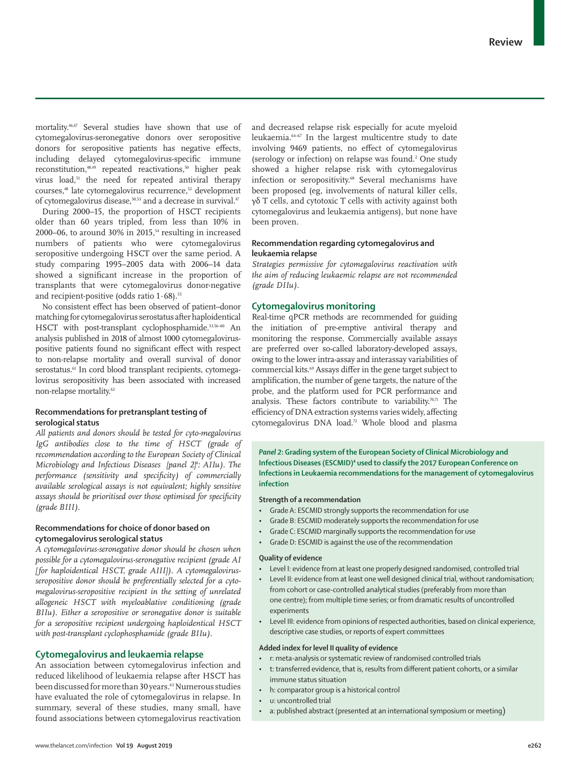mortality.46,47 Several studies have shown that use of cytomegalovirus-seronegative donors over seropositive donors for seropositive patients has negative effects, including delayed cytomegalovirus-specific immune reconstitution,<sup>48,49</sup> repeated reactivations,<sup>50</sup> higher peak virus load,<sup>51</sup> the need for repeated antiviral therapy courses,48 late cytomegalovirus recurrence,52 development of cytomegalovirus disease,<sup>50,53</sup> and a decrease in survival.<sup>47</sup>

During 2000–15, the proportion of HSCT recipients older than 60 years tripled, from less than 10% in 2000–06, to around 30% in 2015, $54$  resulting in increased numbers of patients who were cytomegalovirus seropositive undergoing HSCT over the same period. A study comparing 1995–2005 data with 2006–14 data showed a significant increase in the proportion of transplants that were cytomegalovirus donor-negative and recipient-positive (odds ratio  $1.68$ ).<sup>55</sup>

No consistent effect has been observed of patient–donor matching for cytomegalovirus serostatus after haploidentical HSCT with post-transplant cyclophosphamide.<sup>33,56-60</sup> An analysis published in 2018 of almost 1000 cytomegaloviruspositive patients found no significant effect with respect to non-relapse mortality and overall survival of donor serostatus.<sup>61</sup> In cord blood transplant recipients, cytomegalovirus seropositivity has been associated with increased non-relapse mortality.<sup>62</sup>

# **Recommendations for pretransplant testing of serological status**

*All patients and donors should be tested for cyto-megalovirus IgG antibodies close to the time of HSCT (grade of recommendation according to the European Society of Clinical Microbiology and Infectious Diseases [panel 2]4 : AIIu). The performance (sensitivity and specificity) of commercially available serological assays is not equivalent; highly sensitive assays should be prioritised over those optimised for specificity (grade BIII).*

# **Recommendations for choice of donor based on cytomegalovirus serological status**

*A cytomegalovirus-seronegative donor should be chosen when possible for a cytomegalovirus-seronegative recipient (grade AI [for haploidentical HSCT, grade AIII]). A cytomegalovirusseropositive donor should be preferentially selected for a cytomegalovirus-seropositive recipient in the setting of unrelated allogeneic HSCT with myeloablative conditioning (grade BIIu). Either a seropositive or seronegative donor is suitable for a seropositive recipient undergoing haploidentical HSCT with post-transplant cyclophosphamide (grade BIIu).*

# **Cytomegalovirus and leukaemia relapse**

An association between cytomegalovirus infection and reduced likelihood of leukaemia relapse after HSCT has been discussed for more than 30 years.<sup>63</sup> Numerous studies have evaluated the role of cytomegalovirus in relapse. In summary, several of these studies, many small, have found associations between cytomegalovirus reactivation and decreased relapse risk especially for acute myeloid leukaemia.64–67 In the largest multicentre study to date involving 9469 patients, no effect of cytomegalovirus (serology or infection) on relapse was found.<sup>2</sup> One study showed a higher relapse risk with cytomegalovirus infection or seropositivity.<sup>68</sup> Several mechanisms have been proposed (eg, involvements of natural killer cells, γδ T cells, and cytotoxic T cells with activity against both cytomegalovirus and leukaemia antigens), but none have been proven.

# **Recommendation regarding cytomegalovirus and leukaemia relapse**

*Strategies permissive for cytomegalovirus reactivation with the aim of reducing leukaemic relapse are not recommended (grade DIIu).*

# **Cytomegalovirus monitoring**

Real-time qPCR methods are recommended for guiding the initiation of pre-emptive antiviral therapy and monitoring the response. Commercially available assays are preferred over so-called laboratory-developed assays, owing to the lower intra-assay and interassay variabilities of commercial kits.69 Assays differ in the gene target subject to amplification, the number of gene targets, the nature of the probe, and the platform used for PCR performance and analysis. These factors contribute to variability.<sup>70,71</sup> The efficiency of DNA extraction systems varies widely, affecting cytomegalovirus DNA load.72 Whole blood and plasma

*Panel 2***: Grading system of the European Society of Clinical Microbiology and**  Infectious Diseases (ESCMID)<sup>4</sup> used to classify the 2017 European Conference on **Infections in Leukaemia recommendations for the management of cytomegalovirus infection**

#### **Strength of a recommendation**

- Grade A: ESCMID strongly supports the recommendation for use
- Grade B: ESCMID moderately supports the recommendation for use
- Grade C: ESCMID marginally supports the recommendation for use
- Grade D: ESCMID is against the use of the recommendation

#### **Quality of evidence**

- Level I: evidence from at least one properly designed randomised, controlled trial
- Level II: evidence from at least one well designed clinical trial, without randomisation; from cohort or case-controlled analytical studies (preferably from more than one centre); from multiple time series; or from dramatic results of uncontrolled experiments
- Level III: evidence from opinions of respected authorities, based on clinical experience, descriptive case studies, or reports of expert committees

# **Added index for level II quality of evidence**

- r: meta-analysis or systematic review of randomised controlled trials
- t: transferred evidence, that is, results from different patient cohorts, or a similar immune status situation
- h: comparator group is a historical control
- u: uncontrolled trial
- a: published abstract (presented at an international symposium or meeting)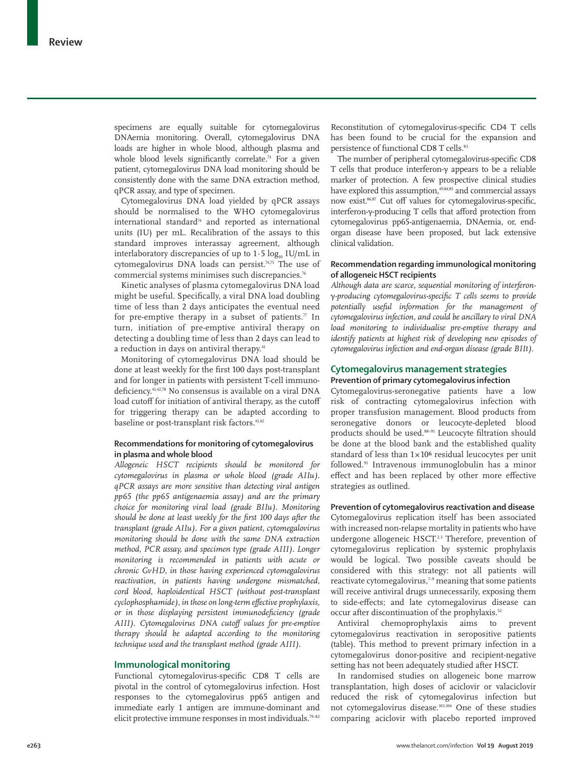specimens are equally suitable for cytomegalovirus DNAemia monitoring. Overall, cytomegalovirus DNA loads are higher in whole blood, although plasma and whole blood levels significantly correlate.<sup>73</sup> For a given patient, cytomegalovirus DNA load monitoring should be consistently done with the same DNA extraction method, qPCR assay, and type of specimen.

Cytomegalovirus DNA load yielded by qPCR assays should be normalised to the WHO cytomegalovirus  $international standard<sup>74</sup>$  and reported as international units (IU) per mL. Recalibration of the assays to this standard improves interassay agreement, although interlaboratory discrepancies of up to  $1.5 \log_{10} IU/mL$  in cytomegalovirus DNA loads can persist.<sup>74,75</sup> The use of commercial systems minimises such discrepancies.<sup>76</sup>

Kinetic analyses of plasma cytomegalovirus DNA load might be useful. Specifically, a viral DNA load doubling time of less than 2 days anticipates the eventual need for pre-emptive therapy in a subset of patients. $\pi$  In turn, initiation of pre-emptive antiviral therapy on detecting a doubling time of less than 2 days can lead to a reduction in days on antiviral therapy.<sup>41</sup>

Monitoring of cytomegalovirus DNA load should be done at least weekly for the first 100 days post-transplant and for longer in patients with persistent T-cell immunodeficiency.41,42,78 No consensus is available on a viral DNA load cutoff for initiation of antiviral therapy, as the cutoff for triggering therapy can be adapted according to baseline or post-transplant risk factors.<sup>41,42</sup>

# **Recommendations for monitoring of cytomegalovirus in plasma and whole blood**

*Allogeneic HSCT recipients should be monitored for cytomegalovirus in plasma or whole blood (grade AIIu). qPCR assays are more sensitive than detecting viral antigen pp65 (the pp65 antigenaemia assay) and are the primary choice for monitoring viral load (grade BIIu). Monitoring should be done at least weekly for the first 100 days after the transplant (grade AIIu). For a given patient, cytomegalovirus monitoring should be done with the same DNA extraction method, PCR assay, and specimen type (grade AIII). Longer monitoring is recommended in patients with acute or chronic GvHD, in those having experienced cytomegalovirus reactivation, in patients having undergone mismatched, cord blood, haploidentical HSCT (without post-transplant cyclophosphamide), in those on long-term effective prophylaxis, or in those displaying persistent immunodeficiency (grade AIII). Cytomegalovirus DNA cutoff values for pre-emptive therapy should be adapted according to the monitoring technique used and the transplant method (grade AIII).*

#### **Immunological monitoring**

Functional cytomegalovirus-specific CD8 T cells are pivotal in the control of cytomegalovirus infection. Host responses to the cytomegalovirus pp65 antigen and immediate early 1 antigen are immune-dominant and elicit protective immune responses in most individuals.<sup>79-82</sup>

Reconstitution of cytomegalovirus-specific CD4 T cells has been found to be crucial for the expansion and persistence of functional CD8 T cells.<sup>83</sup>

The number of peripheral cytomegalovirus-specific CD8 T cells that produce interferon-γ appears to be a reliable marker of protection. A few prospective clinical studies have explored this assumption, $49,84,85$  and commercial assays now exist.86,87 Cut off values for cytomegalovirus-specific, interferon-γ-producing T cells that afford protection from cytomegalovirus pp65-antigenaemia, DNAemia, or, endorgan disease have been proposed, but lack extensive clinical validation.

# **Recommendation regarding immunological monitoring of allogeneic HSCT recipients**

*Although data are scarce, sequential monitoring of interferon*γ*-producing cytomegalovirus-specific T cells seems to provide potentially useful information for the management of cytomegalovirus infection, and could be ancillary to viral DNA load monitoring to individualise pre-emptive therapy and identify patients at highest risk of developing new episodes of cytomegalovirus infection and end-organ disease (grade BIIt).*

# **Cytomegalovirus management strategies**

**Prevention of primary cytomegalovirus infection**

Cytomegalovirus-seronegative patients have a low risk of contracting cytomegalovirus infection with proper transfusion management. Blood products from seronegative donors or leucocyte-depleted blood products should be used.<sup>88-91</sup> Leucocyte filtration should be done at the blood bank and the established quality standard of less than  $1 \times 10^6$  residual leucocytes per unit followed.91 Intravenous immunoglobulin has a minor effect and has been replaced by other more effective strategies as outlined.

**Prevention of cytomegalovirus reactivation and disease** Cytomegalovirus replication itself has been associated with increased non-relapse mortality in patients who have undergone allogeneic HSCT.<sup>2,3</sup> Therefore, prevention of cytomegalovirus replication by systemic prophylaxis would be logical. Two possible caveats should be considered with this strategy: not all patients will reactivate cytomegalovirus, $7-9$  meaning that some patients will receive antiviral drugs unnecessarily, exposing them to side-effects; and late cytomegalovirus disease can occur after discontinuation of the prophylaxis.<sup>52</sup>

Antiviral chemoprophylaxis aims to prevent cytomegalovirus reactivation in seropositive patients (table). This method to prevent primary infection in a cytomegalovirus donor-positive and recipient-negative setting has not been adequately studied after HSCT.

In randomised studies on allogeneic bone marrow transplantation, high doses of aciclovir or valaciclovir reduced the risk of cytomegalovirus infection but not cytomegalovirus disease.103,104 One of these studies comparing aciclovir with placebo reported improved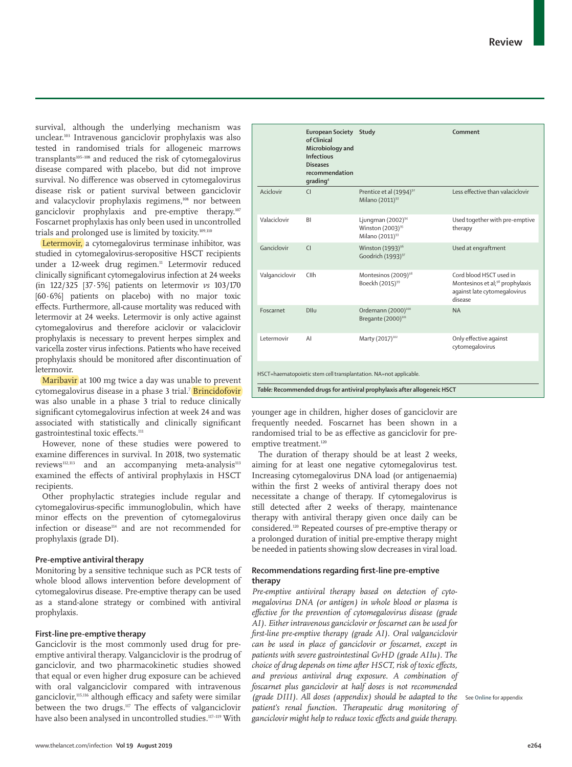survival, although the underlying mechanism was unclear.103 Intravenous ganciclovir prophylaxis was also tested in randomised trials for allogeneic marrows transplants<sup>105-108</sup> and reduced the risk of cytomegalovirus disease compared with placebo, but did not improve survival. No difference was observed in cytomegalovirus disease risk or patient survival between ganciclovir and valacyclovir prophylaxis regimens,<sup>108</sup> nor between ganciclovir prophylaxis and pre-emptive therapy.107 Foscarnet prophylaxis has only been used in uncontrolled trials and prolonged use is limited by toxicity.109,110

Letermovir, a cytomegalovirus terminase inhibitor, was studied in cytomegalovirus-seropositive HSCT recipients under a 12-week drug regimen.<sup>11</sup> Letermovir reduced clinically significant cytomegalovirus infection at 24 weeks (in 122/325 [37·5%] patients on letermovir *vs* 103/170 [60·6%] patients on placebo) with no major toxic effects. Furthermore, all-cause mortality was reduced with letermovir at 24 weeks. Letermovir is only active against cytomegalovirus and therefore aciclovir or valaciclovir prophylaxis is necessary to prevent herpes simplex and varicella zoster virus infections. Patients who have received prophylaxis should be monitored after discontinuation of letermovir.

Maribavir at 100 mg twice a day was unable to prevent cytomegalovirus disease in a phase 3 trial.<sup>7</sup> <mark>Brincidofovir</mark> was also unable in a phase 3 trial to reduce clinically significant cytomegalovirus infection at week 24 and was associated with statistically and clinically significant gastrointestinal toxic effects.<sup>111</sup>

However, none of these studies were powered to examine differences in survival. In 2018, two systematic reviews<sup>112,113</sup> and an accompanying meta-analysis<sup>113</sup> examined the effects of antiviral prophylaxis in HSCT recipients.

Other prophylactic strategies include regular and cytomegalovirus-specific immunoglobulin, which have minor effects on the prevention of cytomegalovirus infection or disease<sup>114</sup> and are not recommended for prophylaxis (grade DI).

## **Pre-emptive antiviral therapy**

Monitoring by a sensitive technique such as PCR tests of whole blood allows intervention before development of cytomegalovirus disease. Pre-emptive therapy can be used as a stand-alone strategy or combined with antiviral prophylaxis.

# **First-line pre-emptive therapy**

Ganciclovir is the most commonly used drug for preemptive antiviral therapy. Valganciclovir is the prodrug of ganciclovir, and two pharmacokinetic studies showed that equal or even higher drug exposure can be achieved with oral valganciclovir compared with intravenous ganciclovir,<sup>115,116</sup> although efficacy and safety were similar between the two drugs.117 The effects of valganciclovir have also been analysed in uncontrolled studies.<sup>117-119</sup> With

|                                                                          | European Society Study<br>of Clinical<br>Microbiology and<br><b>Infectious</b><br><b>Diseases</b><br>recommendation<br>grading <sup>4</sup> |                                                                                       | Comment                                                                                                           |
|--------------------------------------------------------------------------|---------------------------------------------------------------------------------------------------------------------------------------------|---------------------------------------------------------------------------------------|-------------------------------------------------------------------------------------------------------------------|
| Aciclovir                                                                | $\overline{C}$                                                                                                                              | Prentice et al (1994) <sup>92</sup><br>Milano (2011) <sup>93</sup>                    | Less effective than valaciclovir                                                                                  |
| Valaciclovir                                                             | <b>BI</b>                                                                                                                                   | Ljungman (2002) <sup>94</sup><br>Winston $(2003)^{95}$<br>Milano (2011) <sup>93</sup> | Used together with pre-emptive<br>therapy                                                                         |
| Ganciclovir                                                              | $\overline{C}$                                                                                                                              | Winston (1993) <sup>96</sup><br>Goodrich (1993) <sup>97</sup>                         | Used at engraftment                                                                                               |
| Valganciclovir                                                           | Cllh                                                                                                                                        | Montesinos (2009) <sup>98</sup><br>Boeckh (2015) <sup>99</sup>                        | Cord blood HSCT used in<br>Montesinos et al; <sup>98</sup> prophylaxis<br>against late cytomegalovirus<br>disease |
| Foscarnet                                                                | <b>DIIu</b>                                                                                                                                 | Ordemann (2000) <sup>100</sup><br>Bregante (2000) <sup>101</sup>                      | <b>NA</b>                                                                                                         |
| Letermovir                                                               | AI                                                                                                                                          | Marty (2017) <sup>102</sup>                                                           | Only effective against<br>cytomegalovirus                                                                         |
| HSCT=haematopoietic stem cell transplantation. NA=not applicable.        |                                                                                                                                             |                                                                                       |                                                                                                                   |
| Table: Recommended drugs for antiviral prophylaxis after allogeneic HSCT |                                                                                                                                             |                                                                                       |                                                                                                                   |

younger age in children, higher doses of ganciclovir are frequently needed. Foscarnet has been shown in a randomised trial to be as effective as ganciclovir for preemptive treatment.<sup>120</sup>

The duration of therapy should be at least 2 weeks, aiming for at least one negative cytomegalovirus test. Increasing cytomegalovirus DNA load (or antigenaemia) within the first 2 weeks of antiviral therapy does not necessitate a change of therapy. If cytomegalovirus is still detected after 2 weeks of therapy, maintenance therapy with antiviral therapy given once daily can be considered.120 Repeated courses of pre-emptive therapy or a prolonged duration of initial pre-emptive therapy might be needed in patients showing slow decreases in viral load.

# **Recommendations regarding first-line pre-emptive therapy**

*Pre-emptive antiviral therapy based on detection of cytomegalovirus DNA (or antigen) in whole blood or plasma is effective for the prevention of cytomegalovirus disease (grade AI). Either intravenous ganciclovir or foscarnet can be used for first-line pre-emptive therapy (grade AI). Oral valganciclovir can be used in place of ganciclovir or foscarnet, except in patients with severe gastrointestinal GvHD (grade AIIu). The choice of drug depends on time after HSCT, risk of toxic effects, and previous antiviral drug exposure. A combination of foscarnet plus ganciclovir at half doses is not recommended (grade DIII). All doses (appendix) should be adapted to the*  See **Online** for appendix*patient's renal function. Therapeutic drug monitoring of ganciclovir might help to reduce toxic effects and guide therapy.*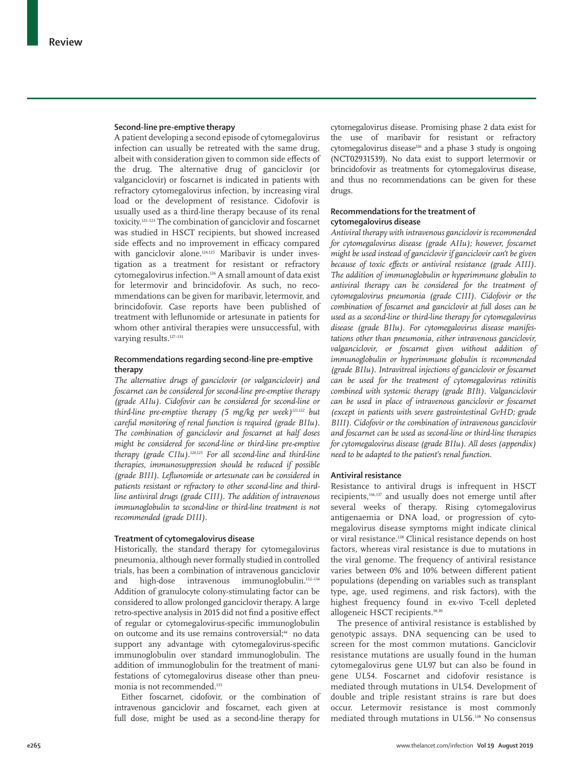#### **Second-line pre-emptive therapy**

A patient developing a second episode of cytomegalovirus infection can usually be retreated with the same drug, albeit with consideration given to common side effects of the drug. The alternative drug of ganciclovir (or valganciclovir) or foscarnet is indicated in patients with refractory cytomegalovirus infection, by increasing viral load or the development of resistance. Cidofovir is usually used as a third-line therapy because of its renal toxicity.121–123 The combination of ganciclovir and foscarnet was studied in HSCT recipients, but showed increased side effects and no improvement in efficacy compared with ganciclovir alone.<sup>124,125</sup> Maribavir is under investigation as a treatment for resistant or refractory cytomegalovirus infection.126 A small amount of data exist for letermovir and brincidofovir. As such, no recommendations can be given for maribavir, letermovir, and brincidofovir. Case reports have been published of treatment with leflunomide or artesunate in patients for whom other antiviral therapies were unsuccessful, with varying results.<sup>127-131</sup>

# **Recommendations regarding second-line pre-emptive therapy**

*The alternative drugs of ganciclovir (or valganciclovir) and foscarnet can be considered for second-line pre-emptive therapy (grade AIIu). Cidofovir can be considered for second-line or third-line pre-emptive therapy (5 mg/kg per week)121,122 but careful monitoring of renal function is required (grade BIIu). The combination of ganciclovir and foscarnet at half doses might be considered for second-line or third-line pre-emptive therapy (grade CIIu).124,125 For all second-line and third-line therapies, immunosuppression should be reduced if possible (grade BIII). Leflunomide or artesunate can be considered in patients resistant or refractory to other second-line and thirdline antiviral drugs (grade CIII). The addition of intravenous immunoglobulin to second-line or third-line treatment is not recommended (grade DIII).*

#### **Treatment of cytomegalovirus disease**

Historically, the standard therapy for cytomegalovirus pneumonia, although never formally studied in controlled trials, has been a combination of intravenous ganciclovir and high-dose intravenous immunoglobulin.132–134 Addition of granulocyte colony-stimulating factor can be considered to allow prolonged ganciclovir therapy. A large retro-spective analysis in 2015 did not find a positive effect of regular or cytomegalovirus-specific immunoglobulin on outcome and its use remains controversial;<sup>44</sup> no data support any advantage with cytomegalovirus-specific immunoglobulin over standard immunoglobulin. The addition of immunoglobulin for the treatment of manifestations of cytomegalovirus disease other than pneumonia is not recommended.<sup>135</sup>

Either foscarnet, cidofovir, or the combination of intravenous ganciclovir and foscarnet, each given at full dose, might be used as a second-line therapy for cytomegalovirus disease. Promising phase 2 data exist for the use of maribavir for resistant or refractory cytomegalovirus disease $126$  and a phase 3 study is ongoing (NCT02931539). No data exist to support letermovir or brincidofovir as treatments for cytomegalovirus disease, and thus no recommendations can be given for these drugs.

# **Recommendations for the treatment of cytomegalovirus disease**

*Antiviral therapy with intravenous ganciclovir is recommended for cytomegalovirus disease (grade AIIu); however, foscarnet might be used instead of ganciclovir if ganciclovir can't be given because of toxic effects or antiviral resistance (grade AIII). The addition of immunoglobulin or hyperimmune globulin to antiviral therapy can be considered for the treatment of cytomegalovirus pneumonia (grade CIII). Cidofovir or the combination of foscarnet and ganciclovir at full doses can be used as a second-line or third-line therapy for cytomegalovirus disease (grade BIIu). For cytomegalovirus disease manifestations other than pneumonia, either intravenous ganciclovir, valganciclovir, or foscarnet given without addition of immunoglobulin or hyperimmune globulin is recommended (grade BIIu). Intravitreal injections of ganciclovir or foscarnet can be used for the treatment of cytomegalovirus retinitis combined with systemic therapy (grade BIIt). Valganciclovir can be used in place of intravenous ganciclovir or foscarnet (except in patients with severe gastrointestinal GvHD; grade BIII). Cidofovir or the combination of intravenous ganciclovir and foscarnet can be used as second-line or third-line therapies for cytomegalovirus disease (grade BIIu). All doses (appendix) need to be adapted to the patient's renal function.*

### **Antiviral resistance**

Resistance to antiviral drugs is infrequent in HSCT recipients,136,137 and usually does not emerge until after several weeks of therapy. Rising cytomegalovirus antigenaemia or DNA load, or progression of cytomegalovirus disease symptoms might indicate clinical or viral resistance.138 Clinical resistance depends on host factors, whereas viral resistance is due to mutations in the viral genome. The frequency of antiviral resistance varies between 0% and 10% between different patient populations (depending on variables such as transplant type, age, used regimens, and risk factors), with the highest frequency found in ex-vivo T-cell depleted allogeneic HSCT recipients.<sup>10,30</sup>

The presence of antiviral resistance is established by genotypic assays. DNA sequencing can be used to screen for the most common mutations. Ganciclovir resistance mutations are usually found in the human cytomegalovirus gene UL97 but can also be found in gene UL54. Foscarnet and cidofovir resistance is mediated through mutations in UL54. Development of double and triple resistant strains is rare but does occur. Letermovir resistance is most commonly mediated through mutations in UL56.138 No consensus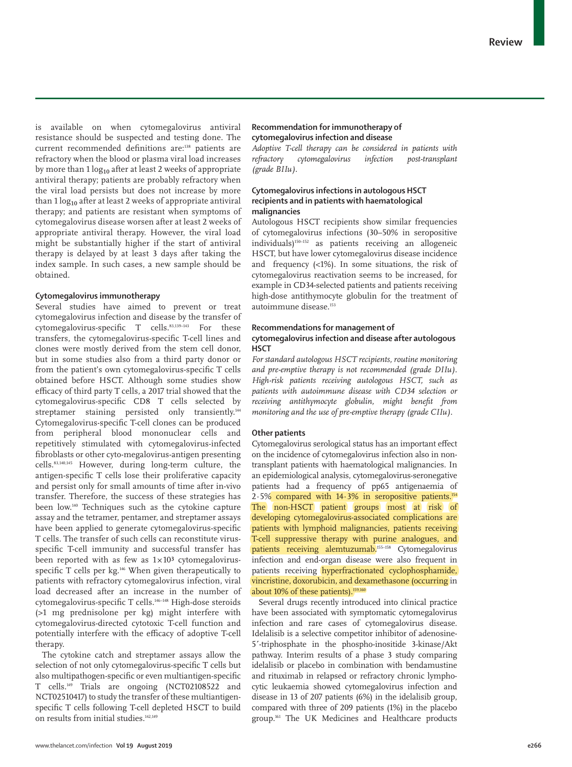is available on when cytomegalovirus antiviral resistance should be suspected and testing done. The current recommended definitions are:<sup>138</sup> patients are refractory when the blood or plasma viral load increases by more than  $1 \log_{10}$  after at least 2 weeks of appropriate antiviral therapy; patients are probably refractory when the viral load persists but does not increase by more than  $1 \log_{10}$  after at least 2 weeks of appropriate antiviral therapy; and patients are resistant when symptoms of cytomegalovirus disease worsen after at least 2 weeks of appropriate antiviral therapy. However, the viral load might be substantially higher if the start of antiviral therapy is delayed by at least 3 days after taking the index sample. In such cases, a new sample should be obtained.

# **Cytomegalovirus immunotherapy**

Several studies have aimed to prevent or treat cytomegalovirus infection and disease by the transfer of cytomegalovirus-specific T cells.<sup>83,139-143</sup> For these transfers, the cytomegalovirus-specific T-cell lines and clones were mostly derived from the stem cell donor, but in some studies also from a third party donor or from the patient's own cytomegalovirus-specific T cells obtained before HSCT. Although some studies show efficacy of third party T cells, a 2017 trial showed that the cytomegalovirus-specific CD8 T cells selected by streptamer staining persisted only transiently.<sup>144</sup> Cytomegalovirus-specific T-cell clones can be produced from peripheral blood mononuclear cells and repetitively stimulated with cytomegalovirus-infected fibroblasts or other cyto-megalovirus-antigen presenting cells.83,140,145 However, during long-term culture, the antigen-specific T cells lose their proliferative capacity and persist only for small amounts of time after in-vivo transfer. Therefore, the success of these strategies has been low.140 Techniques such as the cytokine capture assay and the tetramer, pentamer, and streptamer assays have been applied to generate cytomegalovirus-specific T cells. The transfer of such cells can reconstitute virusspecific T-cell immunity and successful transfer has been reported with as few as  $1 \times 10^3$  cytomegalovirusspecific T cells per kg.146 When given therapeutically to patients with refractory cytomegalovirus infection, viral load decreased after an increase in the number of cytomegalovirus-specific T cells.146–148 High-dose steroids (>1 mg prednisolone per kg) might interfere with cytomegalovirus-directed cytotoxic T-cell function and potentially interfere with the efficacy of adoptive T-cell therapy.

The cytokine catch and streptamer assays allow the selection of not only cytomegalovirus-specific T cells but also multipathogen-specific or even multiantigen-specific T cells.149 Trials are ongoing (NCT02108522 and NCT02510417) to study the transfer of these multiantigenspecific T cells following T-cell depleted HSCT to build on results from initial studies.<sup>142,149</sup>

# **Recommendation for immunotherapy of cytomegalovirus infection and disease**

*Adoptive T-cell therapy can be considered in patients with refractory cytomegalovirus infection post-transplant (grade BIIu).*

# **Cytomegalovirus infections in autologous HSCT recipients and in patients with haematological malignancies**

Autologous HSCT recipients show similar frequencies of cytomegalovirus infections (30–50% in seropositive individuals)150–152 as patients receiving an allogeneic HSCT, but have lower cytomegalovirus disease incidence and frequency (<1%). In some situations, the risk of cytomegalovirus reactivation seems to be increased, for example in CD34-selected patients and patients receiving high-dose antithymocyte globulin for the treatment of autoimmune disease.153

# **Recommendations for management of cytomegalovirus infection and disease after autologous HSCT**

*For standard autologous HSCT recipients, routine monitoring and pre-emptive therapy is not recommended (grade DIIu). High-risk patients receiving autologous HSCT, such as patients with autoimmune disease with CD34 selection or receiving antithymocyte globulin, might benefit from monitoring and the use of pre-emptive therapy (grade CIIu).*

# **Other patients**

Cytomegalovirus serological status has an important effect on the incidence of cytomegalovirus infection also in nontransplant patients with haematological malignancies. In an epidemiological analysis, cytomegalovirus-seronegative patients had a frequency of pp65 antigenaemia of  $2.5\%$  compared with  $14.3\%$  in seropositive patients.<sup>154</sup> The non-HSCT patient groups most at risk of developing cytomegalovirus-associated complications are patients with lymphoid malignancies, patients receiving T-cell suppressive therapy with purine analogues, and patients receiving alemtuzumab.<sup>155–158</sup> Cytomegalovirus infection and end-organ disease were also frequent in patients receiving hyperfractionated cyclophosphamide, vincristine, doxorubicin, and dexamethasone (occurring in about 10% of these patients).<sup>159,160</sup>

Several drugs recently introduced into clinical practice have been associated with symptomatic cytomegalovirus infection and rare cases of cytomegalovirus disease. Idelalisib is a selective competitor inhibitor of adenosine-5**´**-triphosphate in the phospho-inositide 3-kinase/Akt pathway. Interim results of a phase 3 study comparing idelalisib or placebo in combination with bendamustine and rituximab in relapsed or refractory chronic lymphocytic leukaemia showed cytomegalovirus infection and disease in 13 of 207 patients (6%) in the idelalisib group, compared with three of 209 patients (1%) in the placebo group.161 The UK Medicines and Healthcare products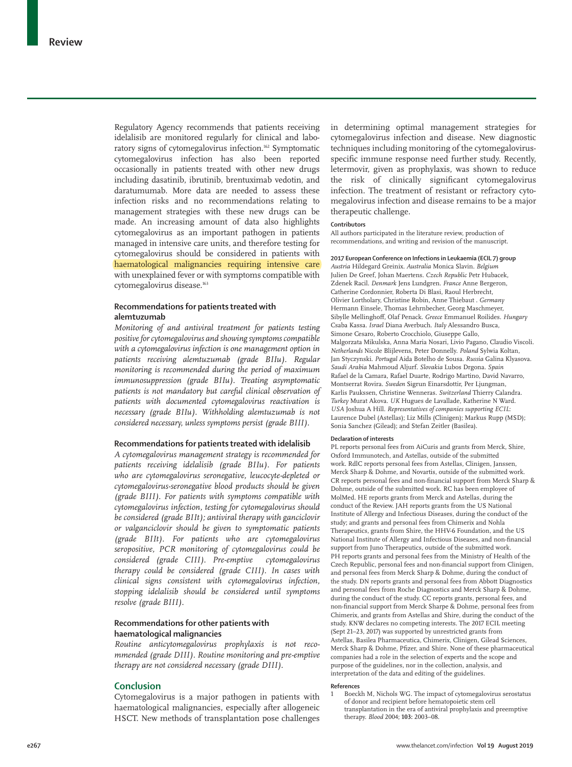Regulatory Agency recommends that patients receiving idelalisib are monitored regularly for clinical and laboratory signs of cytomegalovirus infection.162 Symptomatic cytomegalovirus infection has also been reported occasionally in patients treated with other new drugs including dasatinib, ibrutinib, brentuximab vedotin, and daratumumab. More data are needed to assess these infection risks and no recommendations relating to management strategies with these new drugs can be made. An increasing amount of data also highlights cytomegalovirus as an important pathogen in patients managed in intensive care units, and therefore testing for cytomegalovirus should be considered in patients with haematological malignancies requiring intensive care with unexplained fever or with symptoms compatible with cytomegalovirus disease.<sup>163</sup>

# **Recommendations for patients treated with alemtuzumab**

*Monitoring of and antiviral treatment for patients testing positive for cytomegalovirus and showing symptoms compatible with a cytomegalovirus infection is one management option in patients receiving alemtuzumab (grade BIIu). Regular monitoring is recommended during the period of maximum immunosuppression (grade BIIu). Treating asymptomatic patients is not mandatory but careful clinical observation of patients with documented cytomegalovirus reactivation is necessary (grade BIIu). Withholding alemtuzumab is not considered necessary, unless symptoms persist (grade BIII).*

#### **Recommendations for patients treated with idelalisib**

*A cytomegalovirus management strategy is recommended for patients receiving idelalisib (grade BIIu). For patients who are cytomegalovirus seronegative, leucocyte-depleted or cytomegalovirus-seronegative blood products should be given (grade BIII). For patients with symptoms compatible with cytomegalovirus infection, testing for cytomegalovirus should be considered (grade BIIt); antiviral therapy with ganciclovir or valganciclovir should be given to symptomatic patients (grade BIIt). For patients who are cytomegalovirus seropositive, PCR monitoring of cytomegalovirus could be considered (grade CIII). Pre-emptive cytomegalovirus therapy could be considered (grade CIII). In cases with clinical signs consistent with cytomegalovirus infection, stopping idelalisib should be considered until symptoms resolve (grade BIII).*

# **Recommendations for other patients with haematological malignancies**

*Routine anticytomegalovirus prophylaxis is not recommended (grade DIII). Routine monitoring and pre-emptive therapy are not considered necessary (grade DIII).*

# **Conclusion**

Cytomegalovirus is a major pathogen in patients with haematological malignancies, especially after allogeneic HSCT. New methods of transplantation pose challenges in determining optimal management strategies for cytomegalovirus infection and disease. New diagnostic techniques including monitoring of the cytomegalovirusspecific immune response need further study. Recently, letermovir, given as prophylaxis, was shown to reduce the risk of clinically significant cytomegalovirus infection. The treatment of resistant or refractory cytomegalovirus infection and disease remains to be a major therapeutic challenge.

#### **Contributors**

All authors participated in the literature review, production of recommendations, and writing and revision of the manuscript.

#### **2017 European Conference on Infections in Leukaemia (ECIL 7) group**

*Austria* Hildegard Greinix. *Australia* Monica Slavin. *Belgium* Julien De Greef, Johan Maertens. *Czech Republic* Petr Hubacek, Zdenek Racil. *Denmark* Jens Lundgren. *France* Anne Bergeron, Catherine Cordonnier, Roberta Di Blasi, Raoul Herbrecht, Olivier Lortholary, Christine Robin, Anne Thiebaut . *Germany* Hermann Einsele, Thomas Lehrnbecher, Georg Maschmeyer, Sibylle Mellinghoff, Olaf Penack. *Greece* Emmanuel Roilides. *Hungary*  Csaba Kassa. *Israel* Diana Averbuch. *Italy* Alessandro Busca, Simone Cesaro, Roberto Crocchiolo, Giuseppe Gallo, Malgorzata Mikulska, Anna Maria Nosari, Livio Pagano, Claudio Viscoli. *Netherlands* Nicole Blijlevens, Peter Donnelly. *Poland* Sylwia Koltan, Jan Styczynski. *Portugal* Aida Botelho de Sousa. *Russia* Galina Klyasova. *Saudi Arabia* Mahmoud Aljurf. *Slovakia* Lubos Drgona. *Spain* Rafael de la Camara, Rafael Duarte, Rodrigo Martino, David Navarro, Montserrat Rovira. *Sweden* Sigrun Einarsdottir, Per Ljungman, Karlis Paukssen, Christine Wenneras. *Switzerland* Thierry Calandra. *Turkey* Murat Akova. *UK* Hugues de Lavallade, Katherine N Ward. *USA* Joshua A Hill. *Representatives of companies supporting ECIL*: Laurence Dubel (Astellas); Liz Mills (Clinigen); Markus Rupp (MSD); Sonia Sanchez (Gilead); and Stefan Zeitler (Basilea).

#### **Declaration of interests**

PL reports personal fees from AiCuris and grants from Merck, Shire, Oxford Immunotech, and Astellas, outside of the submitted work. RdlC reports personal fees from Astellas, Clinigen, Janssen, Merck Sharp & Dohme, and Novartis, outside of the submitted work. CR reports personal fees and non-financial support from Merck Sharp & Dohme, outside of the submitted work. RC has been employee of MolMed. HE reports grants from Merck and Astellas, during the conduct of the Review. JAH reports grants from the US National Institute of Allergy and Infectious Diseases, during the conduct of the study; and grants and personal fees from Chimerix and Nohla Therapeutics, grants from Shire, the HHV-6 Foundation, and the US National Institute of Allergy and Infectious Diseases, and non-financial support from Juno Therapeutics, outside of the submitted work. PH reports grants and personal fees from the Ministry of Health of the Czech Republic, personal fees and non-financial support from Clinigen, and personal fees from Merck Sharp & Dohme, during the conduct of the study. DN reports grants and personal fees from Abbott Diagnostics and personal fees from Roche Diagnostics and Merck Sharp & Dohme, during the conduct of the study. CC reports grants, personal fees, and non-financial support from Merck Sharpe & Dohme, personal fees from Chimerix, and grants from Astellas and Shire, during the conduct of the study. KNW declares no competing interests. The 2017 ECIL meeting (Sept 21–23, 2017) was supported by unrestricted grants from Astellas, Basilea Pharmaceutica, Chimerix, Clinigen, Gilead Sciences, Merck Sharp & Dohme, Pfizer, and Shire. None of these pharmaceutical companies had a role in the selection of experts and the scope and purpose of the guidelines, nor in the collection, analysis, and interpretation of the data and editing of the guidelines.

#### **References**

1 Boeckh M, Nichols WG. The impact of cytomegalovirus serostatus of donor and recipient before hematopoietic stem cell transplantation in the era of antiviral prophylaxis and preemptive therapy. *Blood* 2004; **103:** 2003–08.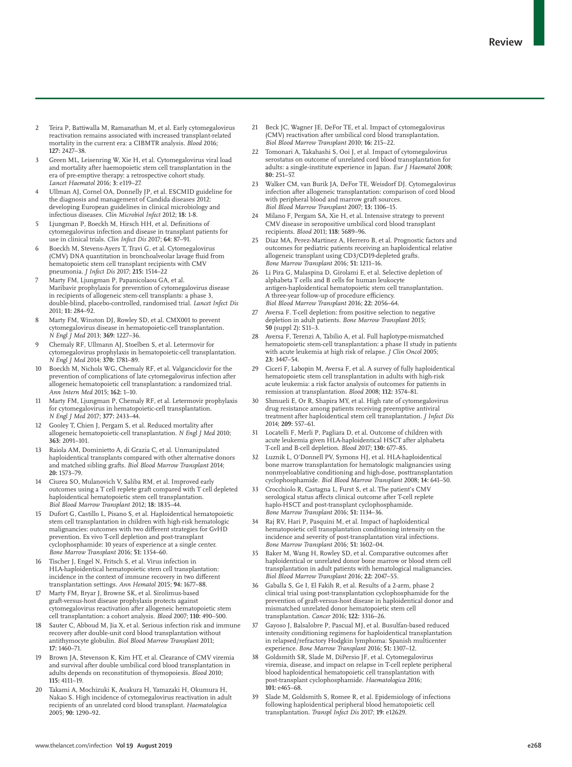- 2 Teira P, Battiwalla M, Ramanathan M, et al. Early cytomegalovirus reactivation remains associated with increased transplant-related mortality in the current era: a CIBMTR analysis. *Blood* 2016; **127:** 2427–38.
- 3 Green ML, Leisenring W, Xie H, et al. Cytomegalovirus viral load and mortality after haemopoietic stem cell transplantation in the era of pre-emptive therapy: a retrospective cohort study. *Lancet Haematol* 2016; **3:** e119–27.
- Ullman AJ, Cornel OA, Donnelly JP, et al. ESCMID guideline for the diagnosis and management of Candida diseases 2012: developing European guidelines in clinical microbiology and infectious diseases. *Clin Microbiol Infect* 2012; **18:** 1-8.
- Ljungman P, Boeckh M, Hirsch HH, et al. Definitions of cytomegalovirus infection and disease in transplant patients for use in clinical trials. *Clin Infect Dis* 2017; **64:** 87–91.
- 6 Boeckh M, Stevens-Ayers T, Travi G, et al. Cytomegalovirus (CMV) DNA quantitation in bronchoalveolar lavage fluid from hematopoietic stem cell transplant recipients with CMV pneumonia. *J Infect Dis* 2017; **215:** 1514–22
- Marty FM, Ljungman P, Papanicolaou GA, et al. Maribavir prophylaxis for prevention of cytomegalovirus disease in recipients of allogeneic stem-cell transplants: a phase 3, double-blind, placebo-controlled, randomised trial. *Lancet Infect Dis* 2011; **11:** 284–92.
- Marty FM, Winston DJ, Rowley SD, et al. CMX001 to prevent cytomegalovirus disease in hematopoietic-cell transplantation. *N Engl J Med* 2013; **369:** 1227–36.
- 9 Chemaly RF, Ullmann AJ, Stoelben S, et al. Letermovir for cytomegalovirus prophylaxis in hematopoietic-cell transplantation. *N Engl J Med* 2014; **370:** 1781–89.
- 10 Boeckh M, Nichols WG, Chemaly RF, et al. Valganciclovir for the prevention of complications of late cytomegalovirus infection after allogeneic hematopoietic cell transplantation: a randomized trial. *Ann Intern Med* 2015; **162:** 1–10.
- 11 Marty FM, Ljungman P, Chemaly RF, et al. Letermovir prophylaxis for cytomegalovirus in hematopoietic-cell transplantation. *N Engl J Med* 2017; **377:** 2433–44.
- 12 Gooley T, Chien J, Pergam S, et al. Reduced mortality after allogeneic hematopoietic-cell transplantation. *N Engl J Med* 2010; **363:** 2091–101.
- 13 Raiola AM, Dominietto A, di Grazia C, et al. Unmanipulated haploidentical transplants compared with other alternative donors and matched sibling grafts. *Biol Blood Marrow Transplant* 2014; **20:** 1573–79.
- 14 Ciurea SO, Mulanovich V, Saliba RM, et al. Improved early outcomes using a T cell replete graft compared with T cell depleted haploidentical hematopoietic stem cell transplantation. *Biol Blood Marrow Transplant* 2012; **18:** 1835–44.
- 15 Dufort G, Castillo L, Pisano S, et al. Haploidentical hematopoietic stem cell transplantation in children with high-risk hematologic malignancies: outcomes with two different strategies for GvHD prevention. Ex vivo T-cell depletion and post-transplant cyclophosphamide: 10 years of experience at a single center. *Bone Marrow Transplant* 2016; **51:** 1354–60.
- 16 Tischer J, Engel N, Fritsch S, et al. Virus infection in HLA-haploidentical hematopoietic stem cell transplantation: incidence in the context of immune recovery in two different transplantation settings. *Ann Hematol* 2015; **94:** 1677–88.
- 17 Marty FM, Bryar J, Browne SK, et al. Sirolimus-based graft-versus-host disease prophylaxis protects against cytomegalovirus reactivation after allogeneic hematopoietic stem cell transplantation: a cohort analysis. *Blood* 2007; **110:** 490–500.
- 18 Sauter C, Abboud M, Jia X, et al. Serious infection risk and immune recovery after double-unit cord blood transplantation without antithymocyte globulin. *Biol Blood Marrow Transplant* 2011; **17:** 1460–71.
- 19 Brown JA, Stevenson K, Kim HT, et al. Clearance of CMV viremia and survival after double umbilical cord blood transplantation in adults depends on reconstitution of thymopoiesis. *Blood* 2010; **115:** 4111–19.
- Takami A, Mochizuki K, Asakura H, Yamazaki H, Okumura H, Nakao S. High incidence of cytomegalovirus reactivation in adult recipients of an unrelated cord blood transplant. *Haematologica* 2005; **90:** 1290–92.
- 21 Beck JC, Wagner JE, DeFor TE, et al. Impact of cytomegalovirus (CMV) reactivation after umbilical cord blood transplantation. *Biol Blood Marrow Transplant* 2010; **16:** 215–22.
- 22 Tomonari A, Takahashi S, Ooi J, et al. Impact of cytomegalovirus serostatus on outcome of unrelated cord blood transplantation for adults: a single-institute experience in Japan. *Eur J Haematol* 2008; **80:** 251–57.
- 23 Walker CM, van Burik JA, DeFor TE, Weisdorf DJ. Cytomegalovirus infection after allogeneic transplantation: comparison of cord blood with peripheral blood and marrow graft sources. *Biol Blood Marrow Transplant* 2007; **13:** 1106–15.
- 24 Milano F, Pergam SA, Xie H, et al. Intensive strategy to prevent CMV disease in seropositive umbilical cord blood transplant recipients. *Blood* 2011; **118:** 5689–96.
- 25 Diaz MA, Perez-Martinez A, Herrero B, et al. Prognostic factors and outcomes for pediatric patients receiving an haploidentical relative allogeneic transplant using CD3/CD19-depleted grafts. *Bone Marrow Transplant* 2016; **51:** 1211–16.
- 26 Li Pira G, Malaspina D, Girolami E, et al. Selective depletion of alphabeta T cells and B cells for human leukocyte antigen-haploidentical hematopoietic stem cell transplantation. A three-year follow-up of procedure efficiency. *Biol Blood Marrow Transplant* 2016; **22:** 2056–64.
- Aversa F. T-cell depletion: from positive selection to negative depletion in adult patients. *Bone Marrow Transplant* 2015; **50** (suppl 2)**:** S11–3.
- 28 Aversa F, Terenzi A, Tabilio A, et al. Full haplotype-mismatched hematopoietic stem-cell transplantation: a phase II study in patients with acute leukemia at high risk of relapse. *J Clin Oncol* 2005; **23:** 3447–54.
- 29 Ciceri F, Labopin M, Aversa F, et al. A survey of fully haploidentical hematopoietic stem cell transplantation in adults with high-risk acute leukemia: a risk factor analysis of outcomes for patients in remission at transplantation. *Blood* 2008; **112:** 3574–81.
- 30 Shmueli E, Or R, Shapira MY, et al. High rate of cytomegalovirus drug resistance among patients receiving preemptive antiviral treatment after haploidentical stem cell transplantation. *J Infect Dis* 2014; **209:** 557–61.
- 31 Locatelli F, Merli P, Pagliara D, et al. Outcome of children with acute leukemia given HLA-haploidentical HSCT after alphabeta T-cell and B-cell depletion. *Blood* 2017; **130:** 677–85.
- 32 Luznik L, O'Donnell PV, Symons HJ, et al. HLA-haploidentical bone marrow transplantation for hematologic malignancies using nonmyeloablative conditioning and high-dose, posttransplantation cyclophosphamide. *Biol Blood Marrow Transplant* 2008; **14:** 641–50.
- 33 Crocchiolo R, Castagna L, Furst S, et al. The patient's CMV serological status affects clinical outcome after T-cell replete haplo-HSCT and post-transplant cyclophosphamide. *Bone Marrow Transplant* 2016; **51:** 1134–36.
- Raj RV, Hari P, Pasquini M, et al. Impact of haploidentical hematopoietic cell transplantation conditioning intensity on the incidence and severity of post-transplantation viral infections. *Bone Marrow Transplant* 2016; **51:** 1602–04.
- 35 Baker M, Wang H, Rowley SD, et al. Comparative outcomes after haploidentical or unrelated donor bone marrow or blood stem cell transplantation in adult patients with hematological malignancies. *Biol Blood Marrow Transplant* 2016; **22:** 2047–55.
- 36 Gaballa S, Ge I, El Fakih R, et al. Results of a 2-arm, phase 2 clinical trial using post-transplantation cyclophosphamide for the prevention of graft-versus-host disease in haploidentical donor and mismatched unrelated donor hematopoietic stem cell transplantation. *Cancer* 2016; **122:** 3316–26.
- 37 Gayoso J, Balsalobre P, Pascual MJ, et al. Busulfan-based reduced intensity conditioning regimens for haploidentical transplantation in relapsed/refractory Hodgkin lymphoma: Spanish multicenter experience. *Bone Marrow Transplant* 2016; **51:** 1307–12.
- 38 Goldsmith SR, Slade M, DiPersio JF, et al. Cytomegalovirus viremia, disease, and impact on relapse in T-cell replete peripheral blood haploidentical hematopoietic cell transplantation with post-transplant cyclophosphamide. *Haematologica* 2016; **101:** e465–68.
- 39 Slade M, Goldsmith S, Romee R, et al. Epidemiology of infections following haploidentical peripheral blood hematopoietic cell transplantation. *Transpl Infect Dis* 2017; **19:** e12629.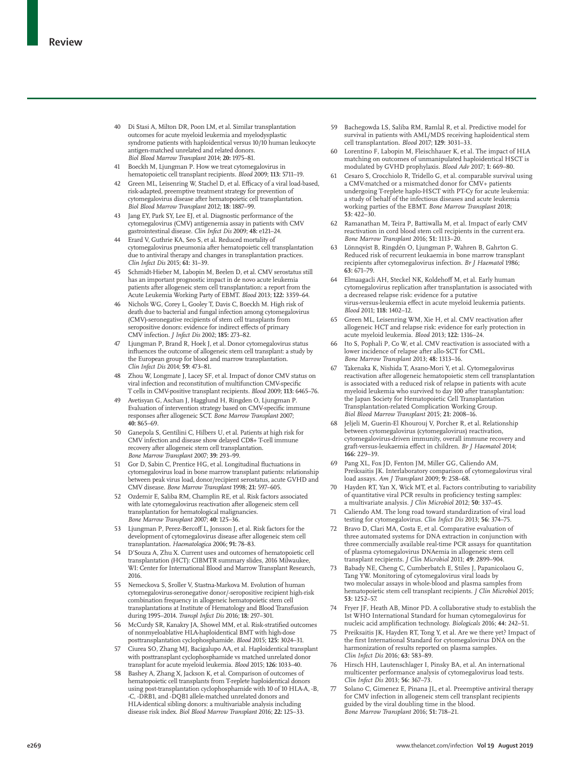- 40 Di Stasi A, Milton DR, Poon LM, et al. Similar transplantation outcomes for acute myeloid leukemia and myelodysplastic syndrome patients with haploidentical versus 10/10 human leukocyte antigen-matched unrelated and related donors. *Biol Blood Marrow Transplant* 2014; **20:** 1975–81.
- 41 Boeckh M, Ljungman P. How we treat cytomegalovirus in hematopoietic cell transplant recipients. *Blood* 2009; **113:** 5711–19.
- 42 Green ML, Leisenring W, Stachel D, et al. Efficacy of a viral load-based, risk-adapted, preemptive treatment strategy for prevention of cytomegalovirus disease after hematopoietic cell transplantation. *Biol Blood Marrow Transplant* 2012; **18:** 1887–99.
- 43 Jang EY, Park SY, Lee EJ, et al. Diagnostic performance of the cytomegalovirus (CMV) antigenemia assay in patients with CMV gastrointestinal disease. *Clin Infect Dis* 2009; **48:** e121–24.
- 44 Erard V, Guthrie KA, Seo S, et al. Reduced mortality of cytomegalovirus pneumonia after hematopoietic cell transplantation due to antiviral therapy and changes in transplantation practices. *Clin Infect Dis* 2015; **61:** 31–39.
- 45 Schmidt-Hieber M, Labopin M, Beelen D, et al. CMV serostatus still has an important prognostic impact in de novo acute leukemia patients after allogeneic stem cell transplantation: a report from the Acute Leukemia Working Party of EBMT. *Blood* 2013; **122:** 3359–64.
- 46 Nichols WG, Corey L, Gooley T, Davis C, Boeckh M. High risk of death due to bacterial and fungal infection among cytomegalovirus (CMV)-seronegative recipients of stem cell transplants from seropositive donors: evidence for indirect effects of primary CMV infection. *J Infect Dis* 2002; **185:** 273–82.
- Ljungman P, Brand R, Hoek J, et al. Donor cytomegalovirus status influences the outcome of allogeneic stem cell transplant: a study by the European group for blood and marrow transplantation. *Clin Infect Dis* 2014; **59:** 473–81.
- Zhou W, Longmate J, Lacey SF, et al. Impact of donor CMV status on viral infection and reconstitution of multifunction CMV-specific T cells in CMV-positive transplant recipients. *Blood* 2009; **113:** 6465–76.
- 49 Avetisyan G, Aschan J, Hagglund H, Ringden O, Ljungman P. Evaluation of intervention strategy based on CMV-specific immune responses after allogeneic SCT. *Bone Marrow Transplant* 2007; **40:** 865–69.
- 50 Ganepola S, Gentilini C, Hilbers U, et al. Patients at high risk for CMV infection and disease show delayed CD8+ T-cell immune recovery after allogeneic stem cell transplantation. *Bone Marrow Transplant* 2007; **39:** 293–99.
- 51 Gor D, Sabin C, Prentice HG, et al. Longitudinal fluctuations in cytomegalovirus load in bone marrow transplant patients: relationship between peak virus load, donor/recipient serostatus, acute GVHD and CMV disease. *Bone Marrow Transplant* 1998; **21:** 597–605.
- 52 Ozdemir E, Saliba RM, Champlin RE, et al. Risk factors associated with late cytomegalovirus reactivation after allogeneic stem cell transplantation for hematological malignancies. *Bone Marrow Transplant* 2007; **40:** 125–36.
- Ljungman P, Perez-Bercoff L, Jonsson J, et al. Risk factors for the development of cytomegalovirus disease after allogeneic stem cell transplantation. *Haematologica* 2006; **91:** 78–83.
- 54 D'Souza A, Zhu X. Current uses and outcomes of hematopoietic cell transplantation (HCT): CIBMTR summary slides, 2016 Milwaukee, WI: Center for International Blood and Marrow Transplant Research, 2016.
- 55 Nemeckova S, Sroller V, Stastna-Markova M. Evolution of human cytomegalovirus-seronegative donor/-seropositive recipient high-risk combination frequency in allogeneic hematopoietic stem cell transplantations at Institute of Hematology and Blood Transfusion during 1995–2014. *Transpl Infect Dis* 2016; **18:** 297–301.
- 56 McCurdy SR, Kanakry JA, Showel MM, et al. Risk-stratified outcomes of nonmyeloablative HLA-haploidentical BMT with high-dose posttransplantation cyclophosphamide. *Blood* 2015; **125:** 3024–31.
- 57 Ciurea SO, Zhang MJ, Bacigalupo AA, et al. Haploidentical transplant with posttransplant cyclophosphamide vs matched unrelated donor transplant for acute myeloid leukemia. *Blood* 2015; **126:** 1033–40.
- 58 Bashey A, Zhang X, Jackson K, et al. Comparison of outcomes of hematopoietic cell transplants from T-replete haploidentical donors using post-transplantation cyclophosphamide with 10 of 10 HLA-A, -B, -C, -DRB1, and -DQB1 allele-matched unrelated donors and HLA-identical sibling donors: a multivariable analysis including disease risk index. *Biol Blood Marrow Transplant* 2016; **22:** 125–33.
- 59 Bachegowda LS, Saliba RM, Ramlal R, et al. Predictive model for survival in patients with AML/MDS receiving haploidentical stem cell transplantation. *Blood* 2017; **129:** 3031–33.
- 60 Lorentino F, Labopin M, Fleischhauer K, et al. The impact of HLA matching on outcomes of unmanipulated haploidentical HSCT is modulated by GVHD prophylaxis. *Blood Adv* 2017; **1:** 669–80.
- 61 Cesaro S, Crocchiolo R, Tridello G, et al. comparable survival using a CMV-matched or a mismatched donor for CMV+ patients undergoing T-replete haplo-HSCT with PT-Cy for acute leukemia: a study of behalf of the infectious diseases and acute leukemia working parties of the EBMT. *Bone Marrow Transplant* 2018; **53:** 422–30.
- 62 Ramanathan M, Teira P, Battiwalla M, et al. Impact of early CMV reactivation in cord blood stem cell recipients in the current era. *Bone Marrow Transplant* 2016; **51:** 1113–20.
- Lönnqvist B, Ringdén O, Ljungman P, Wahren B, Gahrton G. Reduced risk of recurrent leukaemia in bone marrow transplant recipients after cytomegalovirus infection. *Br J Haematol* 1986; **63:** 671–79.
- Elmaagacli AH, Steckel NK, Koldehoff M, et al. Early human cytomegalovirus replication after transplantation is associated with a decreased relapse risk: evidence for a putative virus-versus-leukemia effect in acute myeloid leukemia patients. *Blood* 2011; **118:** 1402–12.
- Green ML, Leisenring WM, Xie H, et al. CMV reactivation after allogeneic HCT and relapse risk: evidence for early protection in acute myeloid leukemia. *Blood* 2013; **122:** 1316–24.
- 66 Ito S, Pophali P, Co W, et al. CMV reactivation is associated with a lower incidence of relapse after allo-SCT for CML. *Bone Marrow Transplant* 2013; **48:** 1313–16.
- 67 Takenaka K, Nishida T, Asano-Mori Y, et al. Cytomegalovirus reactivation after allogeneic hematopoietic stem cell transplantation is associated with a reduced risk of relapse in patients with acute myeloid leukemia who survived to day 100 after transplantation: the Japan Society for Hematopoietic Cell Transplantation Transplantation-related Complication Working Group. *Biol Blood Marrow Transplant* 2015; **21:** 2008–16.
- Jeljeli M, Guerin-El Khourouj V, Porcher R, et al. Relationship between cytomegalovirus (cytomegalovirus) reactivation, cytomegalovirus-driven immunity, overall immune recovery and graft-versus-leukaemia effect in children. *Br J Haematol* 2014; **166:** 229–39.
- 69 Pang XL, Fox JD, Fenton JM, Miller GG, Caliendo AM, Preiksaitis JK. Interlaboratory comparison of cytomegalovirus viral load assays. *Am J Transplant* 2009; **9:** 258–68.
- Hayden RT, Yan X, Wick MT, et al. Factors contributing to variability of quantitative viral PCR results in proficiency testing samples: a multivariate analysis. *J Clin Microbiol* 2012; **50:** 337–45.
- 71 Caliendo AM. The long road toward standardization of viral load testing for cytomegalovirus. *Clin Infect Dis* 2013; **56:** 374–75.
- Bravo D, Clari MA, Costa E, et al. Comparative evaluation of three automated systems for DNA extraction in conjunction with three commercially available real-time PCR assays for quantitation of plasma cytomegalovirus DNAemia in allogeneic stem cell transplant recipients. *J Clin Microbiol* 2011; **49:** 2899–904.
- 73 Babady NE, Cheng C, Cumberbatch E, Stiles J, Papanicolaou G, Tang YW. Monitoring of cytomegalovirus viral loads by two molecular assays in whole-blood and plasma samples from hematopoietic stem cell transplant recipients. *J Clin Microbiol* 2015; **53:** 1252–57.
- Fryer JF, Heath AB, Minor PD. A collaborative study to establish the 1st WHO International Standard for human cytomegalovirus for nucleic acid amplification technology. *Biologicals* 2016; **44:** 242–51.
- 75 Preiksaitis JK, Hayden RT, Tong Y, et al. Are we there yet? Impact of the first International Standard for cytomegalovirus DNA on the harmonization of results reported on plasma samples. *Clin Infect Dis* 2016; **63:** 583–89.
- Hirsch HH, Lautenschlager I, Pinsky BA, et al. An international multicenter performance analysis of cytomegalovirus load tests. *Clin Infect Dis* 2013; **56:** 367–73.
- 77 Solano C, Gimenez E, Pinana JL, et al. Preemptive antiviral therapy for CMV infection in allogeneic stem cell transplant recipients guided by the viral doubling time in the blood. *Bone Marrow Transplant* 2016; **51:** 718–21.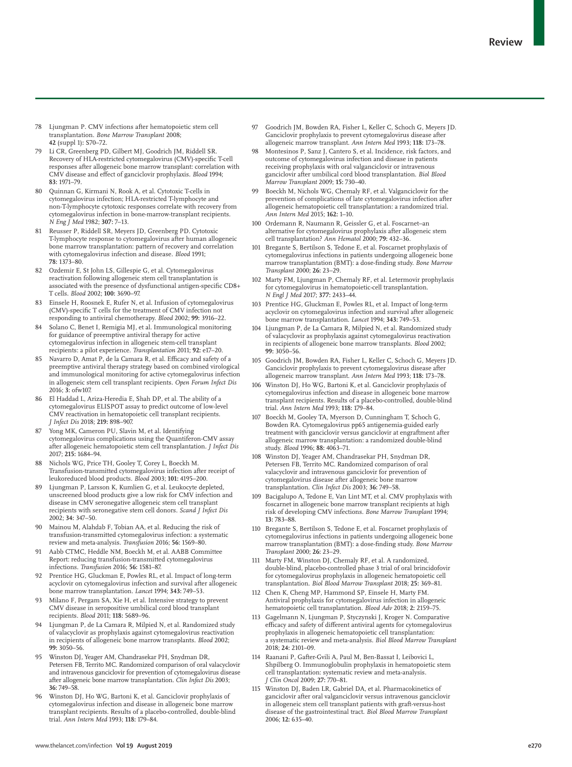- 78 Ljungman P. CMV infections after hematopoietic stem cell transplantation. *Bone Marrow Transplant* 2008; **42** (suppl 1)**:** S70–72.
- Li CR, Greenberg PD, Gilbert MJ, Goodrich JM, Riddell SR. Recovery of HLA-restricted cytomegalovirus (CMV)-specific T-cell responses after allogeneic bone marrow transplant: correlation with CMV disease and effect of ganciclovir prophylaxis. *Blood* 1994; **83:** 1971–79.
- 80 Quinnan G, Kirmani N, Rook A, et al. Cytotoxic T-cells in cytomegalovirus infection; HLA-restricted T-lymphocyte and non-T-lymphocyte cytotoxic responses correlate with recovery from cytomegalovirus infection in bone-marrow-transplant recipients. *N Eng J Med* 1982; **307:** 7–13.
- 81 Reusser P, Riddell SR, Meyers JD, Greenberg PD. Cytotoxic T-lymphocyte response to cytomegalovirus after human allogeneic bone marrow transplantation: pattern of recovery and correlation with cytomegalovirus infection and disease. *Blood* 1991; **78:** 1373–80.
- 82 Ozdemir E, St John LS, Gillespie G, et al. Cytomegalovirus reactivation following allogeneic stem cell transplantation is associated with the presence of dysfunctional antigen-specific CD8+ T cells. *Blood* 2002; **100:** 3690–97.
- 83 Einsele H, Roosnek E, Rufer N, et al. Infusion of cytomegalovirus (CMV)-specific T cells for the treatment of CMV infection not responding to antiviral chemotherapy. *Blood* 2002; **99:** 3916–22.
- Solano C, Benet I, Remigia MJ, et al. Immunological monitoring for guidance of preemptive antiviral therapy for active cytomegalovirus infection in allogeneic stem-cell transplant recipients: a pilot experience. *Transplantation* 2011; **92:** e17–20.
- 85 Navarro D, Amat P, de la Camara R, et al. Efficacy and safety of a preemptive antiviral therapy strategy based on combined virological and immunological monitoring for active cytomegalovirus infection in allogeneic stem cell transplant recipients. *Open Forum Infect Dis* 2016; **3:** ofw107.
- 86 El Haddad L, Ariza-Heredia E, Shah DP, et al. The ability of a cytomegalovirus ELISPOT assay to predict outcome of low-level CMV reactivation in hematopoietic cell transplant recipients. *J Infect Dis* 2018; **219:** 898–907.
- 87 Yong MK, Cameron PU, Slavin M, et al. Identifying cytomegalovirus complications using the Quantiferon-CMV assay after allogeneic hematopoietic stem cell transplantation. *J Infect Dis* 2017; **215:** 1684–94.
- 88 Nichols WG, Price TH, Gooley T, Corey L, Boeckh M. Transfusion-transmitted cytomegalovirus infection after receipt of leukoreduced blood products. *Blood* 2003; **101:** 4195–200.
- Ljungman P, Larsson K, Kumlien G, et al. Leukocyte depleted, unscreened blood products give a low risk for CMV infection and disease in CMV seronegative allogeneic stem cell transplant recipients with seronegative stem cell donors. *Scand J Infect Dis* 2002; **34:** 347–50.
- 90 Mainou M, Alahdab F, Tobian AA, et al. Reducing the risk of transfusion-transmitted cytomegalovirus infection: a systematic review and meta-analysis. *Transfusion* 2016; **56:** 1569–80.
- Aabb CTMC, Heddle NM, Boeckh M, et al. AABB Committee Report: reducing transfusion-transmitted cytomegalovirus infections. *Transfusion* 2016; **56:** 1581–87.
- 92 Prentice HG, Gluckman E, Powles RL, et al. Impact of long-term acyclovir on cytomegalovirus infection and survival after allogeneic bone marrow transplantation. *Lancet* 1994; **343:** 749–53.
- Milano F, Pergam SA, Xie H, et al. Intensive strategy to prevent CMV disease in seropositive umbilical cord blood transplant recipients. *Blood* 2011; **118:** 5689–96.
- 94 Ljungman P, de La Camara R, Milpied N, et al. Randomized study of valacyclovir as prophylaxis against cytomegalovirus reactivation in recipients of allogeneic bone marrow transplants. *Blood* 2002; **99:** 3050–56.
- 95 Winston DJ, Yeager AM, Chandrasekar PH, Snydman DR, Petersen FB, Territo MC. Randomized comparison of oral valacyclovir and intravenous ganciclovir for prevention of cytomegalovirus disease after allogeneic bone marrow transplantation. *Clin Infect Dis* 2003; **36:** 749–58.
- 96 Winston DJ, Ho WG, Bartoni K, et al. Ganciclovir prophylaxis of cytomegalovirus infection and disease in allogeneic bone marrow transplant recipients. Results of a placebo-controlled, double-blind trial. *Ann Intern Med* 1993; **118:** 179–84.
- 97 Goodrich JM, Bowden RA, Fisher L, Keller C, Schoch G, Meyers JD. Ganciclovir prophylaxis to prevent cytomegalovirus disease after allogeneic marrow transplant. *Ann Intern Med* 1993; **118:** 173–78.
- 98 Montesinos P, Sanz J, Cantero S, et al. Incidence, risk factors, and outcome of cytomegalovirus infection and disease in patients receiving prophylaxis with oral valganciclovir or intravenous ganciclovir after umbilical cord blood transplantation. *Biol Blood Marrow Transplant* 2009; **15:** 730–40.
- Boeckh M, Nichols WG, Chemaly RF, et al. Valganciclovir for the prevention of complications of late cytomegalovirus infection after allogeneic hematopoietic cell transplantation: a randomized trial. *Ann Intern Med* 2015; **162:** 1–10.
- 100 Ordemann R, Naumann R, Geissler G, et al. Foscarnet–an alternative for cytomegalovirus prophylaxis after allogeneic stem cell transplantation? *Ann Hematol* 2000; **79:** 432–36.
- 101 Bregante S, Bertilson S, Tedone E, et al. Foscarnet prophylaxis of cytomegalovirus infections in patients undergoing allogeneic bone marrow transplantation (BMT): a dose-finding study. *Bone Marrow Transplant* 2000; **26:** 23–29.
- 102 Marty FM, Ljungman P, Chemaly RF, et al. Letermovir prophylaxis for cytomegalovirus in hematopoietic-cell transplantation. *N Engl J Med* 2017; **377:** 2433–44.
- 103 Prentice HG, Gluckman E, Powles RL, et al. Impact of long-term acyclovir on cytomegalovirus infection and survival after allogeneic bone marrow transplantation. *Lancet* 1994; **343:** 749–53.
- 104 Ljungman P, de La Camara R, Milpied N, et al. Randomized study of valacyclovir as prophylaxis against cytomegalovirus reactivation in recipients of allogeneic bone marrow transplants. *Blood* 2002; **99:** 3050–56.
- 105 Goodrich JM, Bowden RA, Fisher L, Keller C, Schoch G, Meyers JD. Ganciclovir prophylaxis to prevent cytomegalovirus disease after allogeneic marrow transplant. *Ann Intern Med* 1993; **118:** 173–78.
- 106 Winston DJ, Ho WG, Bartoni K, et al. Ganciclovir prophylaxis of cytomegalovirus infection and disease in allogeneic bone marrow transplant recipients. Results of a placebo-controlled, double-blind trial. *Ann Intern Med* 1993; **118:** 179–84.
- Boeckh M, Gooley TA, Myerson D, Cunningham T, Schoch G, Bowden RA. Cytomegalovirus pp65 antigenemia-guided early treatment with ganciclovir versus ganciclovir at engraftment after allogeneic marrow transplantation: a randomized double-blind study. *Blood* 1996; **88:** 4063–71.
- 108 Winston DJ, Yeager AM, Chandrasekar PH, Snydman DR, Petersen FB, Territo MC. Randomized comparison of oral valacyclovir and intravenous ganciclovir for prevention of cytomegalovirus disease after allogeneic bone marrow transplantation. *Clin Infect Dis* 2003; **36:** 749–58.
- Bacigalupo A, Tedone E, Van Lint MT, et al. CMV prophylaxis with foscarnet in allogeneic bone marrow transplant recipients at high risk of developing CMV infections. *Bone Marrow Transplant* 1994; **13:** 783–88.
- 110 Bregante S, Bertilson S, Tedone E, et al. Foscarnet prophylaxis of cytomegalovirus infections in patients undergoing allogeneic bone marrow transplantation (BMT): a dose-finding study. *Bone Marrow Transplant* 2000; **26:** 23–29.
- 111 Marty FM, Winston DJ, Chemaly RF, et al. A randomized, double-blind, placebo-controlled phase 3 trial of oral brincidofovir for cytomegalovirus prophylaxis in allogeneic hematopoietic cell transplantation. *Biol Blood Marrow Transplant* 2018; **25:** 369–81.
- 112 Chen K, Cheng MP, Hammond SP, Einsele H, Marty FM. Antiviral prophylaxis for cytomegalovirus infection in allogeneic hematopoietic cell transplantation. *Blood Adv* 2018; **2:** 2159–75.
- 113 Gagelmann N, Ljungman P, Styczynski J, Kroger N. Comparative efficacy and safety of different antiviral agents for cytomegalovirus prophylaxis in allogeneic hematopoietic cell transplantation: a systematic review and meta-analysis. *Biol Blood Marrow Transplant* 2018; **24:** 2101–09.
- 114 Raanani P, Gafter-Gvili A, Paul M, Ben-Bassat I, Leibovici L, Shpilberg O. Immunoglobulin prophylaxis in hematopoietic stem cell transplantation: systematic review and meta-analysis. *J Clin Oncol* 2009; **27:** 770–81.
- 115 Winston DJ, Baden LR, Gabriel DA, et al. Pharmacokinetics of ganciclovir after oral valganciclovir versus intravenous ganciclovir in allogeneic stem cell transplant patients with graft-versus-host disease of the gastrointestinal tract. *Biol Blood Marrow Transplant* 2006; **12:** 635–40.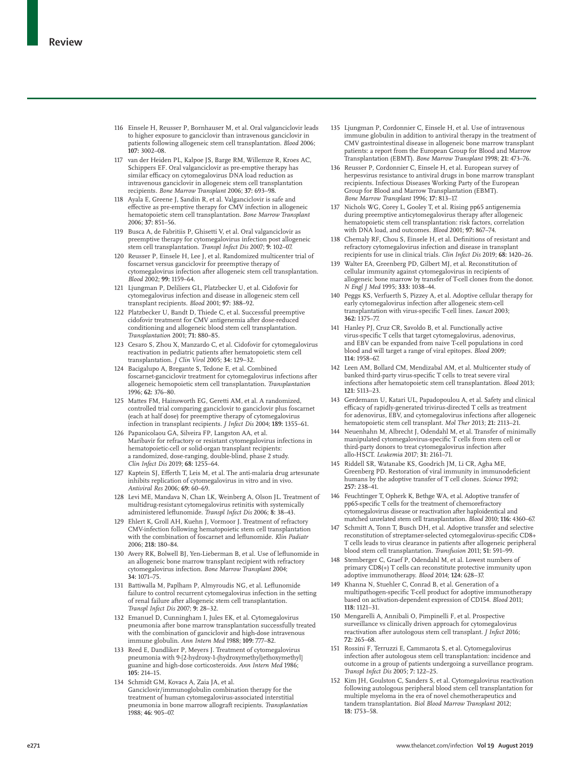- 116 Einsele H, Reusser P, Bornhauser M, et al. Oral valganciclovir leads to higher exposure to ganciclovir than intravenous ganciclovir in patients following allogeneic stem cell transplantation. *Blood* 2006; **107:** 3002–08.
- 117 van der Heiden PL, Kalpoe JS, Barge RM, Willemze R, Kroes AC, Schippers EF. Oral valganciclovir as pre-emptive therapy has similar efficacy on cytomegalovirus DNA load reduction as intravenous ganciclovir in allogeneic stem cell transplantation recipients. *Bone Marrow Transplant* 2006; **37:** 693–98.
- 118 Ayala E, Greene J, Sandin R, et al. Valganciclovir is safe and effective as pre-emptive therapy for CMV infection in allogeneic hematopoietic stem cell transplantation. *Bone Marrow Transplant* 2006; **37:** 851–56.
- 119 Busca A, de Fabritiis P, Ghisetti V, et al. Oral valganciclovir as preemptive therapy for cytomegalovirus infection post allogeneic stem cell transplantation. *Transpl Infect Dis* 2007; **9:** 102–07.
- 120 Reusser P, Einsele H, Lee J, et al. Randomized multicenter trial of foscarnet versus ganciclovir for preemptive therapy of cytomegalovirus infection after allogeneic stem cell transplantation. *Blood* 2002; **99:** 1159–64.
- 121 Ljungman P, Deliliers GL, Platzbecker U, et al. Cidofovir for cytomegalovirus infection and disease in allogeneic stem cell transplant recipients. *Blood* 2001; **97:** 388–92.
- 122 Platzbecker U, Bandt D, Thiede C, et al. Successful preemptive cidofovir treatment for CMV antigenemia after dose-reduced conditioning and allogeneic blood stem cell transplantation. *Transplantation* 2001; **71:** 880–85.
- 123 Cesaro S, Zhou X, Manzardo C, et al. Cidofovir for cytomegalovirus reactivation in pediatric patients after hematopoietic stem cell transplantation. *J Clin Virol* 2005; **34:** 129–32.
- 124 Bacigalupo A, Bregante S, Tedone E, et al. Combined foscarnet-ganciclovir treatment for cytomegalovirus infections after allogeneic hemopoietic stem cell transplantation. *Transplantation* 1996; **62:** 376–80.
- 125 Mattes FM, Hainsworth EG, Geretti AM, et al. A randomized, controlled trial comparing ganciclovir to ganciclovir plus foscarnet (each at half dose) for preemptive therapy of cytomegalovirus infection in transplant recipients. *J Infect Dis* 2004; **189:** 1355–61.
- 126 Papanicolaou GA, Silveira FP, Langston AA, et al. Maribavir for refractory or resistant cytomegalovirus infections in hematopoietic-cell or solid-organ transplant recipients: a randomized, dose-ranging, double-blind, phase 2 study. *Clin Infect Dis* 2019; **68:** 1255–64.
- 127 Kaptein SJ, Efferth T, Leis M, et al. The anti-malaria drug artesunate inhibits replication of cytomegalovirus in vitro and in vivo. *Antiviral Res* 2006; **69:** 60–69.
- 128 Levi ME, Mandava N, Chan LK, Weinberg A, Olson JL. Treatment of multidrug-resistant cytomegalovirus retinitis with systemically administered leflunomide. *Transpl Infect Dis* 2006; **8:** 38–43.
- 129 Ehlert K, Groll AH, Kuehn J, Vormoor J. Treatment of refractory CMV-infection following hematopoietic stem cell transplantation with the combination of foscarnet and leflunomide. *Klin Padiatr* 2006; **218:** 180–84.
- 130 Avery RK, Bolwell BJ, Yen-Lieberman B, et al. Use of leflunomide in an allogeneic bone marrow transplant recipient with refractory cytomegalovirus infection. *Bone Marrow Transplant* 2004; **34:** 1071–75.
- 131 Battiwalla M, Paplham P, Almyroudis NG, et al. Leflunomide failure to control recurrent cytomegalovirus infection in the setting of renal failure after allogeneic stem cell transplantation. *Transpl Infect Dis* 2007; **9:** 28–32.
- 132 Emanuel D, Cunningham I, Jules EK, et al. Cytomegalovirus pneumonia after bone marrow transplantation successfully treated with the combination of ganciclovir and high-dose intravenous immune globulin. *Ann Intern Med* 1988; **109:** 777–82.
- 133 Reed E, Dandliker P, Meyers J. Treatment of cytomegalovirus pneumonia with 9-[2-hydroxy-1-(hydroxymethyl)ethoxymethyl] guanine and high-dose corticosteroids. *Ann Intern Med* 1986; **105:** 214–15.
- 134 Schmidt GM, Kovacs A, Zaia JA, et al. Ganciclovir/immunoglobulin combination therapy for the treatment of human cytomegalovirus-associated interstitial pneumonia in bone marrow allograft recipients. *Transplantation* 1988; **46:** 905–07.
- 135 Ljungman P, Cordonnier C, Einsele H, et al. Use of intravenous immune globulin in addition to antiviral therapy in the treatment of CMV gastrointestinal disease in allogeneic bone marrow transplant patients: a report from the European Group for Blood and Marrow Transplantation (EBMT). *Bone Marrow Transplant* 1998; **21:** 473–76.
- 136 Reusser P, Cordonnier C, Einsele H, et al. European survey of herpesvirus resistance to antiviral drugs in bone marrow transplant recipients. Infectious Diseases Working Party of the European Group for Blood and Marrow Transplantation (EBMT). *Bone Marrow Transplant* 1996; **17:** 813–17.
- 137 Nichols WG, Corey L, Gooley T, et al. Rising pp65 antigenemia during preemptive anticytomegalovirus therapy after allogeneic hematopoietic stem cell transplantation: risk factors, correlation with DNA load, and outcomes. *Blood* 2001; **97:** 867–74.
- 138 Chemaly RF, Chou S, Einsele H, et al. Definitions of resistant and refractory cytomegalovirus infection and disease in transplant recipients for use in clinical trials. *Clin Infect Dis* 2019; **68:** 1420–26.
- 139 Walter EA, Greenberg PD, Gilbert MJ, et al. Reconstitution of cellular immunity against cytomegalovirus in recipients of allogeneic bone marrow by transfer of T-cell clones from the donor. *N Engl J Med* 1995; **333:** 1038–44.
- 140 Peggs KS, Verfuerth S, Pizzey A, et al. Adoptive cellular therapy for early cytomegalovirus infection after allogeneic stem-cell transplantation with virus-specific T-cell lines. *Lancet* 2003; **362:** 1375–77.
- 141 Hanley PJ, Cruz CR, Savoldo B, et al. Functionally active virus-specific T cells that target cytomegalovirus, adenovirus, and EBV can be expanded from naive T-cell populations in cord blood and will target a range of viral epitopes. *Blood* 2009; **114:** 1958–67.
- 142 Leen AM, Bollard CM, Mendizabal AM, et al. Multicenter study of banked third-party virus-specific T cells to treat severe viral infections after hematopoietic stem cell transplantation. *Blood* 2013; **121:** 5113–23.
- 143 Gerdemann U, Katari UL, Papadopoulou A, et al. Safety and clinical efficacy of rapidly-generated trivirus-directed T cells as treatment for adenovirus, EBV, and cytomegalovirus infections after allogeneic hematopoietic stem cell transplant. *Mol Ther* 2013; **21:** 2113–21.
- 144 Neuenhahn M, Albrecht J, Odendahl M, et al. Transfer of minimally manipulated cytomegalovirus-specific T cells from stem cell or third-party donors to treat cytomegalovirus infection after allo-HSCT. *Leukemia* 2017; **31:** 2161–71.
- 145 Riddell SR, Watanabe KS, Goodrich JM, Li CR, Agha ME, Greenberg PD. Restoration of viral immunity in immunodeficient humans by the adoptive transfer of T cell clones. *Science* 1992; **257:** 238–41.
- 146 Feuchtinger T, Opherk K, Bethge WA, et al. Adoptive transfer of pp65-specific T cells for the treatment of chemorefractory cytomegalovirus disease or reactivation after haploidentical and matched unrelated stem cell transplantation. *Blood* 2010; **116:** 4360–67.
- 147 Schmitt A, Tonn T, Busch DH, et al. Adoptive transfer and selective reconstitution of streptamer-selected cytomegalovirus-specific CD8+ T cells leads to virus clearance in patients after allogeneic peripheral blood stem cell transplantation. *Transfusion* 2011; **51:** 591–99.
- 148 Stemberger C, Graef P, Odendahl M, et al. Lowest numbers of primary CD8(+) T cells can reconstitute protective immunity upon adoptive immunotherapy. *Blood* 2014; **124:** 628–37.
- 149 Khanna N, Stuehler C, Conrad B, et al. Generation of a multipathogen-specific T-cell product for adoptive immunotherapy based on activation-dependent expression of CD154. *Blood* 2011; **118:** 1121–31.
- 150 Mengarelli A, Annibali O, Pimpinelli F, et al. Prospective surveillance vs clinically driven approach for cytomegalovirus reactivation after autologous stem cell transplant. *J Infect* 2016; **72:** 265–68.
- 151 Rossini F, Terruzzi E, Cammarota S, et al. Cytomegalovirus infection after autologous stem cell transplantation: incidence and outcome in a group of patients undergoing a surveillance program. *Transpl Infect Dis* 2005; **7:** 122–25.
- 152 Kim JH, Goulston C, Sanders S, et al. Cytomegalovirus reactivation following autologous peripheral blood stem cell transplantation for multiple myeloma in the era of novel chemotherapeutics and tandem transplantation. *Biol Blood Marrow Transplant* 2012; **18:** 1753–58.